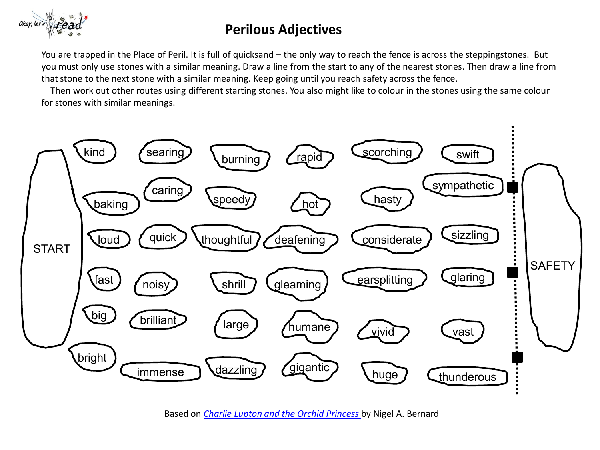

## **Perilous Adjectives**

You are trapped in the Place of Peril. It is full of quicksand – the only way to reach the fence is across the steppingstones. But you must only use stones with a similar meaning. Draw a line from the start to any of the nearest stones. Then draw a line from that stone to the next stone with a similar meaning. Keep going until you reach safety across the fence.

 Then work out other routes using different starting stones. You also might like to colour in the stones using the same colour for stones with similar meanings.



Based on *[Charlie Lupton and the Orchid Princess](http://nigelbernard.com/book/charlie-lupton-and-orchid-princess)* by Nigel A. Bernard